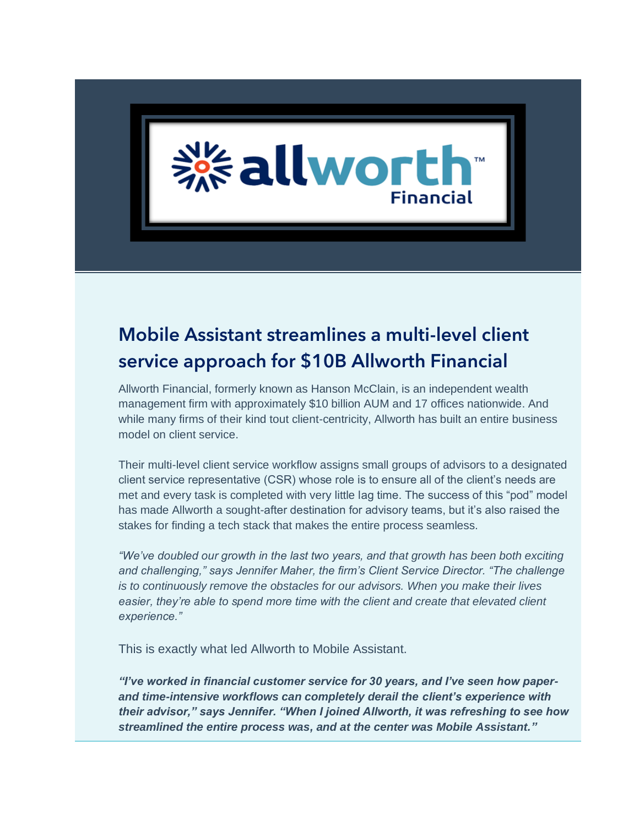

# Mobile Assistant streamlines a multi-level client service approach for \$10B Allworth Financial

Allworth Financial, formerly known as Hanson McClain, is an independent wealth management firm with approximately \$10 billion AUM and 17 offices nationwide. And while many firms of their kind tout client-centricity, Allworth has built an entire business model on client service.

Their multi-level client service workflow assigns small groups of advisors to a designated client service representative (CSR) whose role is to ensure all of the client's needs are met and every task is completed with very little lag time. The success of this "pod" model has made Allworth a sought-after destination for advisory teams, but it's also raised the stakes for finding a tech stack that makes the entire process seamless.

*"We've doubled our growth in the last two years, and that growth has been both exciting and challenging," says Jennifer Maher, the firm's Client Service Director. "The challenge is to continuously remove the obstacles for our advisors. When you make their lives easier, they're able to spend more time with the client and create that elevated client experience."* 

This is exactly what led Allworth to Mobile Assistant.

*"I've worked in financial customer service for 30 years, and I've seen how paperand time-intensive workflows can completely derail the client's experience with their advisor," says Jennifer. "When I joined Allworth, it was refreshing to see how streamlined the entire process was, and at the center was Mobile Assistant."*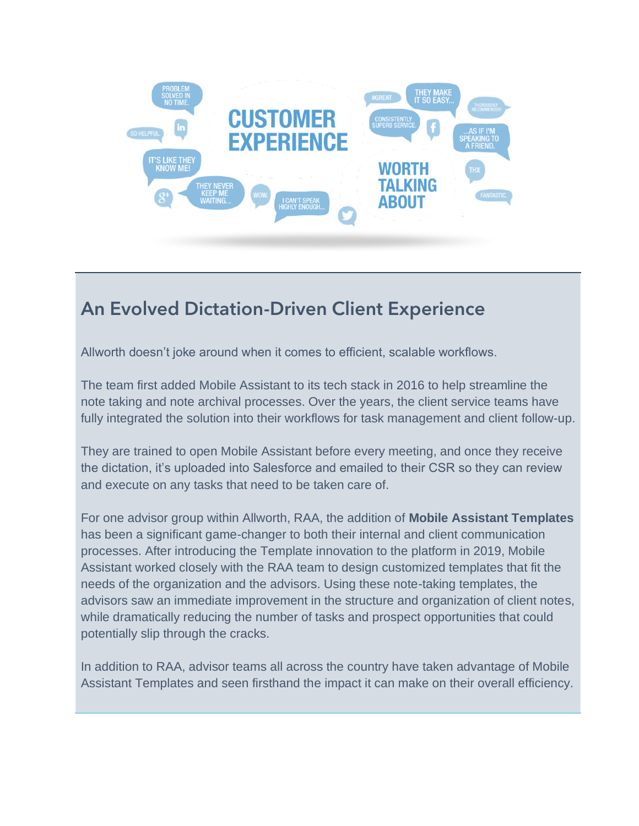

## An Evolved Dictation-Driven Client Experience

Allworth doesn't joke around when it comes to efficient, scalable workflows.

The team first added Mobile Assistant to its tech stack in 2016 to help streamline the note taking and note archival processes. Over the years, the client service teams have fully integrated the solution into their workflows for task management and client follow-up.

They are trained to open Mobile Assistant before every meeting, and once they receive the dictation, it's uploaded into Salesforce and emailed to their CSR so they can review and execute on any tasks that need to be taken care of.

For one advisor group within Allworth, RAA, the addition of **Mobile Assistant Templates** has been a significant game-changer to both their internal and client communication processes. After introducing the Template innovation to the platform in 2019, Mobile Assistant worked closely with the RAA team to design customized templates that fit the needs of the organization and the advisors. Using these note-taking templates, the advisors saw an immediate improvement in the structure and organization of client notes, while dramatically reducing the number of tasks and prospect opportunities that could potentially slip through the cracks.

In addition to RAA, advisor teams all across the country have taken advantage of Mobile Assistant Templates and seen firsthand the impact it can make on their overall efficiency.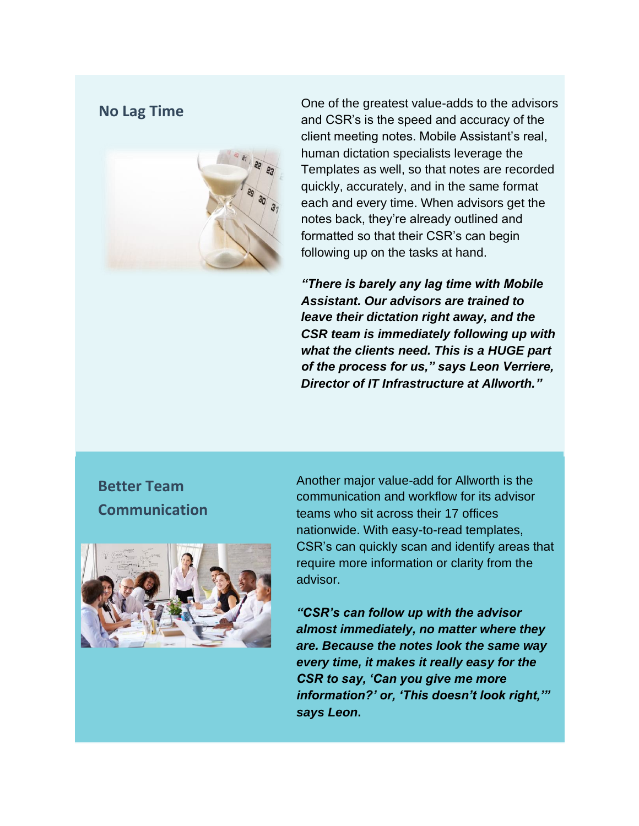

**No Lag Time** One of the greatest value-adds to the advisors<br>
No Lag Time<br>
No Lag Time and CSR's is the speed and accuracy of the client meeting notes. Mobile Assistant's real, human dictation specialists leverage the Templates as well, so that notes are recorded quickly, accurately, and in the same format each and every time. When advisors get the notes back, they're already outlined and formatted so that their CSR's can begin following up on the tasks at hand.

> *"There is barely any lag time with Mobile Assistant. Our advisors are trained to leave their dictation right away, and the CSR team is immediately following up with what the clients need. This is a HUGE part of the process for us," says Leon Verriere, Director of IT Infrastructure at Allworth."*

#### **Better Team Communication**



Another major value-add for Allworth is the communication and workflow for its advisor teams who sit across their 17 offices nationwide. With easy-to-read templates, CSR's can quickly scan and identify areas that require more information or clarity from the advisor.

*"CSR's can follow up with the advisor almost immediately, no matter where they are. Because the notes look the same way every time, it makes it really easy for the CSR to say, 'Can you give me more information?' or, 'This doesn't look right,'" says Leon***.**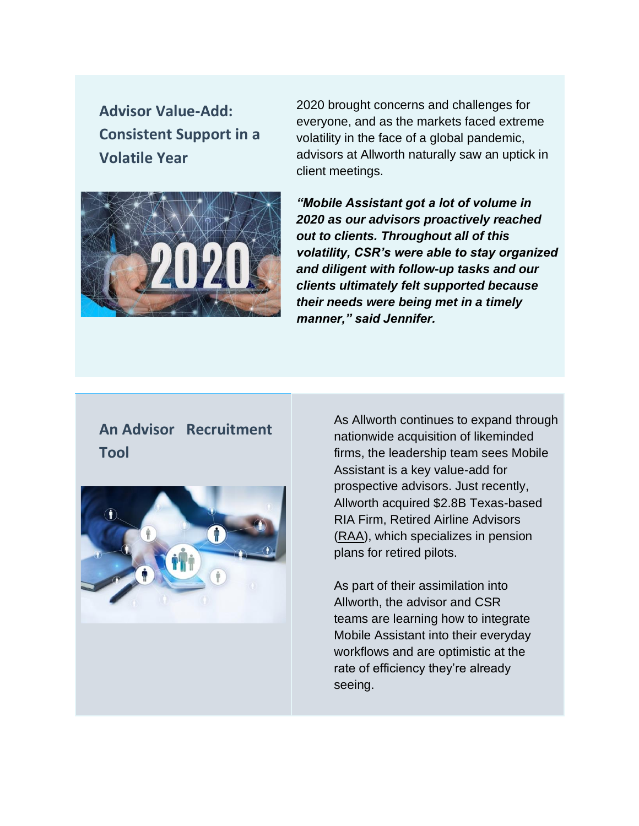**Advisor Value-Add: Consistent Support in a Volatile Year**



2020 brought concerns and challenges for everyone, and as the markets faced extreme volatility in the face of a global pandemic, advisors at Allworth naturally saw an uptick in client meetings.

*"Mobile Assistant got a lot of volume in 2020 as our advisors proactively reached out to clients. Throughout all of this volatility, CSR's were able to stay organized and diligent with follow-up tasks and our clients ultimately felt supported because their needs were being met in a timely manner," said Jennifer.*

#### **An Advisor Recruitment Tool**



As Allworth continues to expand through nationwide acquisition of likeminded firms, the leadership team sees Mobile Assistant is a key value-add for prospective advisors. Just recently, Allworth acquired \$2.8B Texas-based RIA Firm, Retired Airline Advisors [\(RAA\)](https://raa.com/), which specializes in pension plans for retired pilots.

As part of their assimilation into Allworth, the advisor and CSR teams are learning how to integrate Mobile Assistant into their everyday workflows and are optimistic at the rate of efficiency they're already seeing.